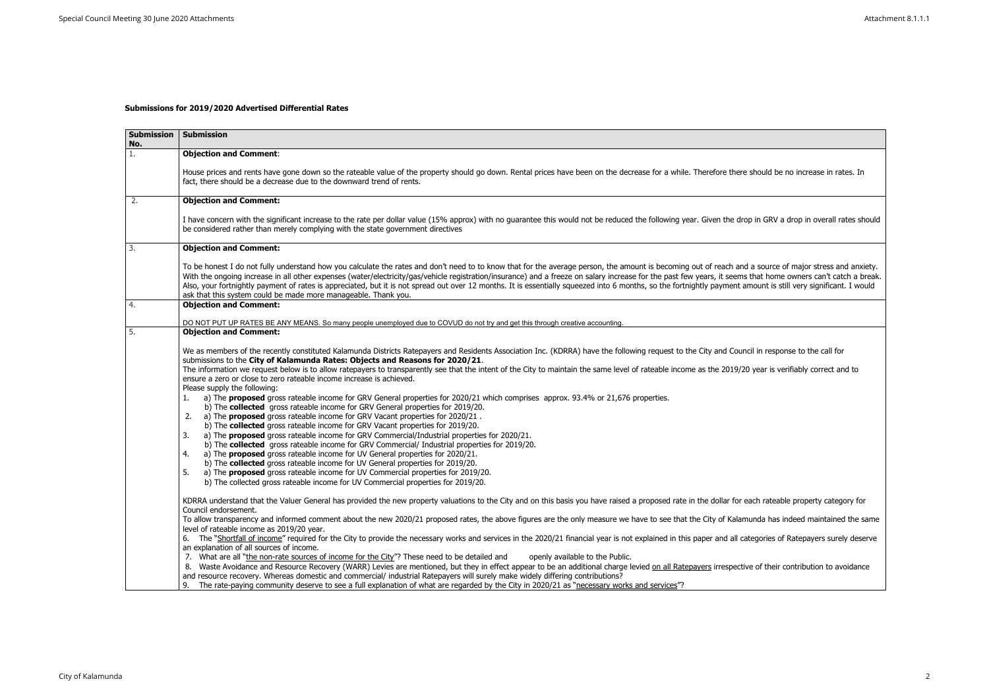## **Submissions for 2019/2020 Advertised Differential Rates**

| <b>Submission</b><br>No. | <b>Submission</b>                                                                                                                                                                                                                                                                                                                                                                                                                                                                                                                                                                                                                                                                                                                                                                                                                                                                                                                                                                                                                                                                                                                                                                                                                                                                                                                                                                                                                                                                                                          |
|--------------------------|----------------------------------------------------------------------------------------------------------------------------------------------------------------------------------------------------------------------------------------------------------------------------------------------------------------------------------------------------------------------------------------------------------------------------------------------------------------------------------------------------------------------------------------------------------------------------------------------------------------------------------------------------------------------------------------------------------------------------------------------------------------------------------------------------------------------------------------------------------------------------------------------------------------------------------------------------------------------------------------------------------------------------------------------------------------------------------------------------------------------------------------------------------------------------------------------------------------------------------------------------------------------------------------------------------------------------------------------------------------------------------------------------------------------------------------------------------------------------------------------------------------------------|
| 1.                       | <b>Objection and Comment:</b>                                                                                                                                                                                                                                                                                                                                                                                                                                                                                                                                                                                                                                                                                                                                                                                                                                                                                                                                                                                                                                                                                                                                                                                                                                                                                                                                                                                                                                                                                              |
|                          | House prices and rents have gone down so the rateable value of the property should go down. Rental prices have been on the decrease for a while. Therefore there<br>fact, there should be a decrease due to the downward trend of rents.                                                                                                                                                                                                                                                                                                                                                                                                                                                                                                                                                                                                                                                                                                                                                                                                                                                                                                                                                                                                                                                                                                                                                                                                                                                                                   |
| 2.                       | <b>Objection and Comment:</b>                                                                                                                                                                                                                                                                                                                                                                                                                                                                                                                                                                                                                                                                                                                                                                                                                                                                                                                                                                                                                                                                                                                                                                                                                                                                                                                                                                                                                                                                                              |
|                          | I have concern with the significant increase to the rate per dollar value (15% approx) with no guarantee this would not be reduced the following year. Given the drop<br>be considered rather than merely complying with the state government directives                                                                                                                                                                                                                                                                                                                                                                                                                                                                                                                                                                                                                                                                                                                                                                                                                                                                                                                                                                                                                                                                                                                                                                                                                                                                   |
| 3.                       | <b>Objection and Comment:</b>                                                                                                                                                                                                                                                                                                                                                                                                                                                                                                                                                                                                                                                                                                                                                                                                                                                                                                                                                                                                                                                                                                                                                                                                                                                                                                                                                                                                                                                                                              |
|                          | To be honest I do not fully understand how you calculate the rates and don't need to to know that for the average person, the amount is becoming out of reach and<br>With the ongoing increase in all other expenses (water/electricity/gas/vehicle registration/insurance) and a freeze on salary increase for the past few years, it seems<br>Also, your fortnightly payment of rates is appreciated, but it is not spread out over 12 months. It is essentially squeezed into 6 months, so the fortnightly payment an<br>ask that this system could be made more manageable. Thank you.                                                                                                                                                                                                                                                                                                                                                                                                                                                                                                                                                                                                                                                                                                                                                                                                                                                                                                                                 |
| 4.                       | <b>Objection and Comment:</b>                                                                                                                                                                                                                                                                                                                                                                                                                                                                                                                                                                                                                                                                                                                                                                                                                                                                                                                                                                                                                                                                                                                                                                                                                                                                                                                                                                                                                                                                                              |
|                          | DO NOT PUT UP RATES BE ANY MEANS. So many people unemployed due to COVUD do not try and get this through creative accounting.                                                                                                                                                                                                                                                                                                                                                                                                                                                                                                                                                                                                                                                                                                                                                                                                                                                                                                                                                                                                                                                                                                                                                                                                                                                                                                                                                                                              |
| 5.                       | <b>Objection and Comment:</b>                                                                                                                                                                                                                                                                                                                                                                                                                                                                                                                                                                                                                                                                                                                                                                                                                                                                                                                                                                                                                                                                                                                                                                                                                                                                                                                                                                                                                                                                                              |
|                          | We as members of the recently constituted Kalamunda Districts Ratepayers and Residents Association Inc. (KDRRA) have the following request to the City and Counc<br>submissions to the City of Kalamunda Rates: Objects and Reasons for 2020/21.<br>The information we request below is to allow ratepayers to transparently see that the intent of the City to maintain the same level of rateable income as the 2019/20<br>ensure a zero or close to zero rateable income increase is achieved.<br>Please supply the following:<br>a) The <b>proposed</b> gross rateable income for GRV General properties for 2020/21 which comprises approx. 93.4% or 21,676 properties.<br>1.<br>b) The collected gross rateable income for GRV General properties for 2019/20.<br>a) The <b>proposed</b> gross rateable income for GRV Vacant properties for 2020/21.<br>2.<br>b) The collected gross rateable income for GRV Vacant properties for 2019/20.<br>a) The proposed gross rateable income for GRV Commercial/Industrial properties for 2020/21.<br>3.<br>b) The collected gross rateable income for GRV Commercial/ Industrial properties for 2019/20.<br>a) The <b>proposed</b> gross rateable income for UV General properties for 2020/21.<br>4.<br>b) The collected gross rateable income for UV General properties for 2019/20.<br>a) The <b>proposed</b> gross rateable income for UV Commercial properties for 2019/20.<br>5.<br>b) The collected gross rateable income for UV Commercial properties for 2019/20. |
|                          | KDRRA understand that the Valuer General has provided the new property valuations to the City and on this basis you have raised a proposed rate in the dollar for ea<br>Council endorsement.<br>To allow transparency and informed comment about the new 2020/21 proposed rates, the above figures are the only measure we have to see that the City of Kalami                                                                                                                                                                                                                                                                                                                                                                                                                                                                                                                                                                                                                                                                                                                                                                                                                                                                                                                                                                                                                                                                                                                                                             |
|                          | level of rateable income as 2019/20 year.<br>6. The "Shortfall of income" required for the City to provide the necessary works and services in the 2020/21 financial year is not explained in this paper and all cat<br>an explanation of all sources of income.                                                                                                                                                                                                                                                                                                                                                                                                                                                                                                                                                                                                                                                                                                                                                                                                                                                                                                                                                                                                                                                                                                                                                                                                                                                           |
|                          | 7. What are all "the non-rate sources of income for the City"? These need to be detailed and<br>openly available to the Public.<br>8. Waste Avoidance and Resource Recovery (WARR) Levies are mentioned, but they in effect appear to be an additional charge levied on all Ratepayers irrespective<br>and resource recovery. Whereas domestic and commercial/ industrial Ratepayers will surely make widely differing contributions?<br>9. The rate-paying community deserve to see a full explanation of what are regarded by the City in 2020/21 as "necessary works and services"?                                                                                                                                                                                                                                                                                                                                                                                                                                                                                                                                                                                                                                                                                                                                                                                                                                                                                                                                     |

should be no increase in rates. In op in GRV a drop in overall rates should no g I a source of major stress and anxiety. ithat home owners can't catch a break. mount is still very significant. I would cil in response to the call for ) year is verifiably correct and to each rateable property category for nunda has indeed maintained the same ategories of Ratepayers surely deserve ve of their contribution to avoidance